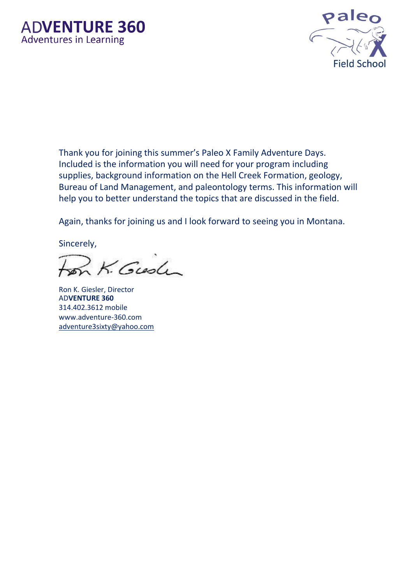

Thank you for joining this summer's Paleo X Family Adventure Days. Included is the information you will need for your program including supplies, background information on the Hell Creek Formation, geology, Bureau of Land Management, and paleontology terms. This information will help you to better understand the topics that are discussed in the field.

Again, thanks for joining us and I look forward to seeing you in Montana.

Sincerely,

K. Gush

Ron K. Giesler, Director AD**VENTURE 360** 314.402.3612 mobile www.adventure-360.com adventure3sixty@yahoo.com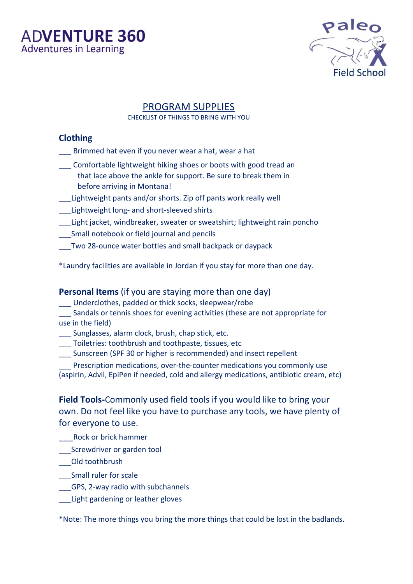



### PROGRAM SUPPLIES

CHECKLIST OF THINGS TO BRING WITH YOU

### **Clothing**

- Brimmed hat even if you never wear a hat, wear a hat
- \_\_\_ Comfortable lightweight hiking shoes or boots with good tread an that lace above the ankle for support. Be sure to break them in before arriving in Montana!
- Lightweight pants and/or shorts. Zip off pants work really well
- \_\_\_Lightweight long- and short-sleeved shirts
- \_\_\_Light jacket, windbreaker, sweater or sweatshirt; lightweight rain poncho
- \_\_\_Small notebook or field journal and pencils
- \_\_\_Two 28-ounce water bottles and small backpack or daypack

\*Laundry facilities are available in Jordan if you stay for more than one day.

#### **Personal Items** (if you are staying more than one day)

- Underclothes, padded or thick socks, sleepwear/robe
- Sandals or tennis shoes for evening activities (these are not appropriate for use in the field)
- \_\_\_ Sunglasses, alarm clock, brush, chap stick, etc.
- Toiletries: toothbrush and toothpaste, tissues, etc
- \_\_\_ Sunscreen (SPF 30 or higher is recommended) and insect repellent
- Prescription medications, over-the-counter medications you commonly use (aspirin, Advil, EpiPen if needed, cold and allergy medications, antibiotic cream, etc)

**Field Tools-**Commonly used field tools if you would like to bring your own. Do not feel like you have to purchase any tools, we have plenty of for everyone to use.

- \_\_\_Rock or brick hammer
- Screwdriver or garden tool
- \_\_\_Old toothbrush
- \_\_\_Small ruler for scale
- \_\_\_GPS, 2-way radio with subchannels
- Light gardening or leather gloves

\*Note: The more things you bring the more things that could be lost in the badlands.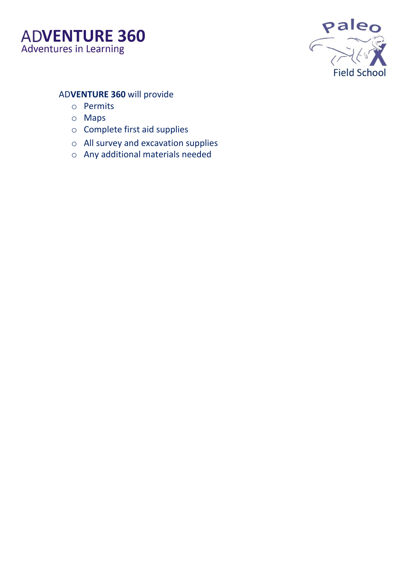



### AD**VENTURE 360** will provide

- o Permits
- o Maps
- o Complete first aid supplies
- o All survey and excavation supplies
- o Any additional materials needed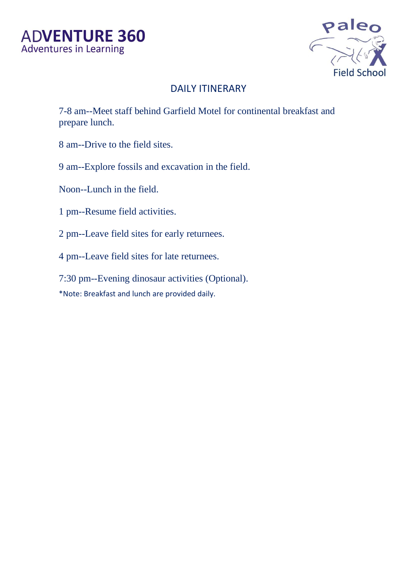

## DAILY ITINERARY

7-8 am--Meet staff behind Garfield Motel for continental breakfast and prepare lunch.

- 8 am--Drive to the field sites.
- 9 am--Explore fossils and excavation in the field.
- Noon--Lunch in the field.
- 1 pm--Resume field activities.
- 2 pm--Leave field sites for early returnees.
- 4 pm--Leave field sites for late returnees.
- 7:30 pm--Evening dinosaur activities (Optional).
- \*Note: Breakfast and lunch are provided daily.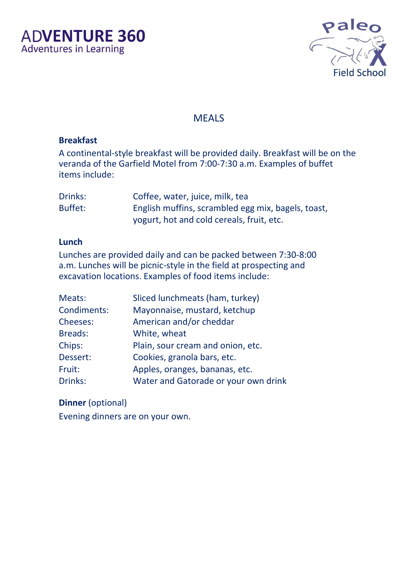

### **MEALS**

### **Breakfast**

A continental-style breakfast will be provided daily. Breakfast will be on the veranda of the Garfield Motel from 7:00-7:30 a.m. Examples of buffet items include:

| Drinks: | Coffee, water, juice, milk, tea                    |
|---------|----------------------------------------------------|
| Buffet: | English muffins, scrambled egg mix, bagels, toast, |
|         | yogurt, hot and cold cereals, fruit, etc.          |

#### **Lunch**

Lunches are provided daily and can be packed between 7:30-8:00 a.m. Lunches will be picnic-style in the field at prospecting and excavation locations. Examples of food items include:

| Meats:          | Sliced lunchmeats (ham, turkey)      |  |  |
|-----------------|--------------------------------------|--|--|
| Condiments:     | Mayonnaise, mustard, ketchup         |  |  |
| <b>Cheeses:</b> | American and/or cheddar              |  |  |
| <b>Breads:</b>  | White, wheat                         |  |  |
| Chips:          | Plain, sour cream and onion, etc.    |  |  |
| Dessert:        | Cookies, granola bars, etc.          |  |  |
| Fruit:          | Apples, oranges, bananas, etc.       |  |  |
| Drinks:         | Water and Gatorade or your own drink |  |  |

# **Dinner** (optional)

Evening dinners are on your own.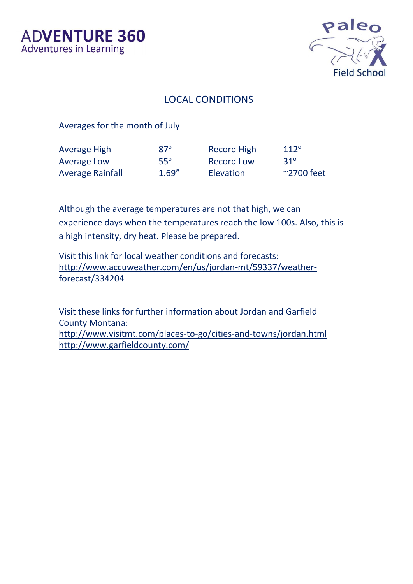

### LOCAL CONDITIONS

Averages for the month of July

| <b>Average High</b>     | $87^\circ$ | <b>Record High</b> | $112^\circ$         |
|-------------------------|------------|--------------------|---------------------|
| <b>Average Low</b>      | $55^\circ$ | <b>Record Low</b>  | $31^\circ$          |
| <b>Average Rainfall</b> | 1.69''     | <b>Elevation</b>   | $\approx$ 2700 feet |

Although the average temperatures are not that high, we can experience days when the temperatures reach the low 100s. Also, this is a high intensity, dry heat. Please be prepared.

Visit this link for local weather conditions and forecasts: http://www.accuweather.com/en/us/jordan-mt/59337/weatherforecast/334204

Visit these links for further information about Jordan and Garfield County Montana: <http://www.visitmt.com/places-to-go/cities-and-towns/jordan.html> http://www.garfieldcounty.com/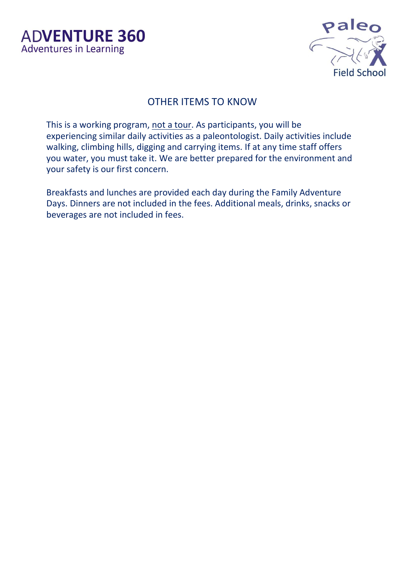

## OTHER ITEMS TO KNOW

This is a working program, not a tour. As participants, you will be experiencing similar daily activities as a paleontologist. Daily activities include walking, climbing hills, digging and carrying items. If at any time staff offers you water, you must take it. We are better prepared for the environment and your safety is our first concern.

Breakfasts and lunches are provided each day during the Family Adventure Days. Dinners are not included in the fees. Additional meals, drinks, snacks or beverages are not included in fees.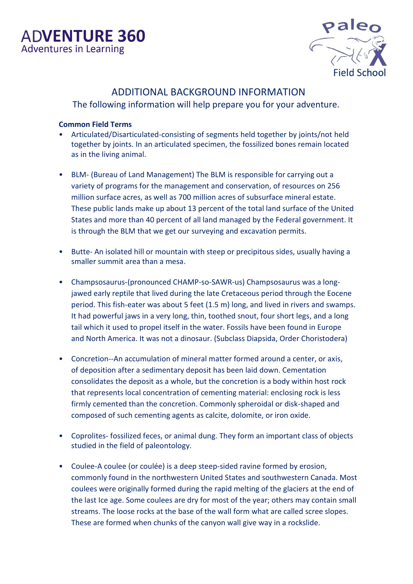

### ADDITIONAL BACKGROUND INFORMATION

The following information will help prepare you for your adventure.

#### **Common Field Terms**

- Articulated/Disarticulated-consisting of segments held together by joints/not held together by joints. In an articulated specimen, the fossilized bones remain located as in the living animal.
- BLM- (Bureau of Land Management) The BLM is responsible for carrying out a variety of programs for the management and conservation, of resources on 256 million surface acres, as well as 700 million acres of subsurface mineral estate. These public lands make up about 13 percent of the total land surface of the United States and more than 40 percent of all land managed by the Federal government. It is through the BLM that we get our surveying and excavation permits.
- Butte- An isolated hill or mountain with steep or precipitous sides, usually having a smaller summit area than a mesa.
- Champsosaurus-(pronounced CHAMP-so-SAWR-us) Champsosaurus was a longjawed early reptile that lived during the late Cretaceous period through the Eocene period. This fish-eater was about 5 feet (1.5 m) long, and lived in rivers and swamps. It had powerful jaws in a very long, thin, toothed snout, four short legs, and a long tail which it used to propel itself in the water. Fossils have been found in Europe and North America. It was not a dinosaur. (Subclass Diapsida, Order Choristodera)
- Concretion--An accumulation of mineral matter formed around a center, or axis, of deposition after a sedimentary deposit has been laid down. Cementation consolidates the deposit as a whole, but the concretion is a body within host rock that represents local concentration of cementing material: enclosing rock is less firmly cemented than the concretion. Commonly spheroidal or disk-shaped and composed of such cementing agents as calcite, dolomite, or iron oxide.
- Coprolites- fossilized feces, or animal dung. They form an important class of objects studied in the field of paleontology.
- Coulee-A coulee (or coulée) is a deep steep-sided ravine formed by erosion, commonly found in the northwestern United States and southwestern Canada. Most coulees were originally formed during the rapid melting of the glaciers at the end of the last Ice age. Some coulees are dry for most of the year; others may contain small streams. The loose rocks at the base of the wall form what are called scree slopes. These are formed when chunks of the canyon wall give way in a rockslide.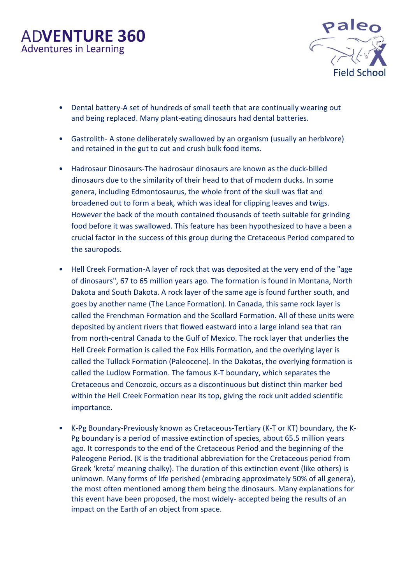

- Dental battery-A set of hundreds of small teeth that are continually wearing out and being replaced. Many plant-eating dinosaurs had dental batteries.
- Gastrolith- A stone deliberately swallowed by an organism (usually an herbivore) and retained in the gut to cut and crush bulk food items.
- Hadrosaur Dinosaurs-The hadrosaur dinosaurs are known as the duck-billed dinosaurs due to the similarity of their head to that of modern ducks. In some genera, including Edmontosaurus, the whole front of the skull was flat and broadened out to form a beak, which was ideal for clipping leaves and twigs. However the back of the mouth contained thousands of teeth suitable for grinding food before it was swallowed. This feature has been hypothesized to have a been a crucial factor in the success of this group during the Cretaceous Period compared to the sauropods.
- Hell Creek Formation-A layer of rock that was deposited at the very end of the "age of dinosaurs", 67 to 65 million years ago. The formation is found in Montana, North Dakota and South Dakota. A rock layer of the same age is found further south, and goes by another name (The Lance Formation). In Canada, this same rock layer is called the Frenchman Formation and the Scollard Formation. All of these units were deposited by ancient rivers that flowed eastward into a large inland sea that ran from north-central Canada to the Gulf of Mexico. The rock layer that underlies the Hell Creek Formation is called the Fox Hills Formation, and the overlying layer is called the Tullock Formation (Paleocene). In the Dakotas, the overlying formation is called the Ludlow Formation. The famous K-T boundary, which separates the Cretaceous and Cenozoic, occurs as a discontinuous but distinct thin marker bed within the Hell Creek Formation near its top, giving the rock unit added scientific importance.
- K-Pg Boundary-Previously known as Cretaceous-Tertiary (K-T or KT) boundary, the K-Pg boundary is a period of massive extinction of species, about 65.5 million years ago. It corresponds to the end of the Cretaceous Period and the beginning of the Paleogene Period. (K is the traditional abbreviation for the Cretaceous period from Greek 'kreta' meaning chalky). The duration of this extinction event (like others) is unknown. Many forms of life perished (embracing approximately 50% of all genera), the most often mentioned among them being the dinosaurs. Many explanations for this event have been proposed, the most widely- accepted being the results of an impact on the Earth of an object from space.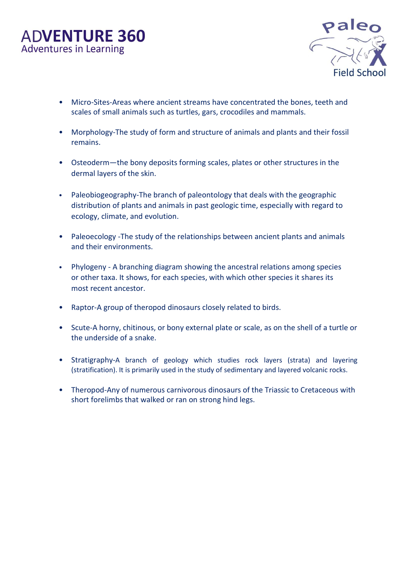

- Micro-Sites-Areas where ancient streams have concentrated the bones, teeth and scales of small animals such as turtles, gars, crocodiles and mammals.
- Morphology-The study of form and structure of animals and plants and their fossil remains.
- Osteoderm—the bony deposits forming scales, plates or other structures in the dermal layers of the skin.
- Paleobiogeography-The branch of paleontology that deals with the geographic distribution of plants and animals in past geologic time, especially with regard to ecology, climate, and evolution.
- Paleoecology -The study of the relationships between ancient plants and animals and their environments.
- Phylogeny A branching diagram showing the ancestral relations among species or other taxa. It shows, for each species, with which other species it shares its most recent ancestor.
- Raptor-A group of theropod dinosaurs closely related to birds.
- Scute-A horny, chitinous, or bony external plate or scale, as on the shell of a turtle or the underside of a snake.
- Stratigraphy-A branch of [geology](http://en.wikipedia.org/wiki/Geology) which studies [rock](http://en.wikipedia.org/wiki/Rock_(geology)) layers [\(strata\)](http://en.wikipedia.org/wiki/Stratum) and layering (stratification). It is primarily used in the study of [sedimentary](http://en.wikipedia.org/wiki/Sedimentary_rock) and layered [volcanic rocks.](http://en.wikipedia.org/wiki/Volcanic_rock)
- Theropod-Any of numerous carnivorous dinosaurs of the Triassic to Cretaceous with short forelimbs that walked or ran on strong hind legs.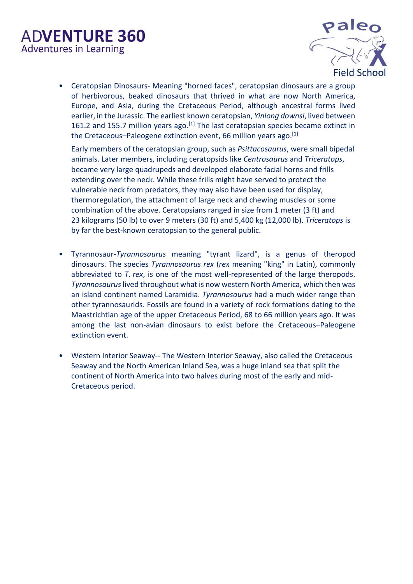

• Ceratopsian Dinosaurs- Meaning "horned faces", ceratopsian dinosaurs are a group of [herbivorous,](http://en.wikipedia.org/wiki/Herbivore) beaked [dinosaurs](http://en.wikipedia.org/wiki/Dinosaur) that thrived in what are now [North America,](http://en.wikipedia.org/wiki/North_America) [Europe,](http://en.wikipedia.org/wiki/Europe) and [Asia,](http://en.wikipedia.org/wiki/Asia) during the [Cretaceous](http://en.wikipedia.org/wiki/Cretaceous) [Period,](http://en.wikipedia.org/wiki/Period_(geology)) although ancestral forms lived earlier, in th[e Jurassic.](http://en.wikipedia.org/wiki/Jurassic) The earliest known ceratopsian, *[Yinlong downsi](http://en.wikipedia.org/wiki/Yinlong_downsi)*, lived between 161.2 and 155.7 million years ago.<sup>[\[1\]](http://en.wikipedia.org/wiki/Ceratopsia#cite_note-Holtz2008-1)</sup> The last ceratopsian species became extinct in the Cretaceous–[Paleogene extinction event,](http://en.wikipedia.org/wiki/Cretaceous%E2%80%93Paleogene_extinction_event) [66](http://tools.wmflabs.org/timescale/?Ma=66) million years ago.<sup>[\[1\]](http://en.wikipedia.org/wiki/Ceratopsia#cite_note-Holtz2008-1)</sup>

Early members of the ceratopsian group, such as *[Psittacosaurus](http://en.wikipedia.org/wiki/Psittacosaurus)*, were small [bipedal](http://en.wikipedia.org/wiki/Biped) animals. Later members, including [ceratopsids](http://en.wikipedia.org/wiki/Ceratopsidae) like *[Centrosaurus](http://en.wikipedia.org/wiki/Centrosaurus)* and *[Triceratops](http://en.wikipedia.org/wiki/Triceratops)*, became very large [quadrupeds](http://en.wikipedia.org/wiki/Quadruped) and developed elaborate facial [horns](http://en.wikipedia.org/wiki/Horn_(anatomy)) and frills extending over the neck. While these frills might have served to protect the vulnerable neck from [predators,](http://en.wikipedia.org/wiki/Predation) they may also have been used for [display,](http://en.wikipedia.org/wiki/Display_(zoology)) [thermoregulation,](http://en.wikipedia.org/wiki/Thermoregulation) the attachment of large neck and chewing muscles or some combination of the above. Ceratopsians ranged in size from 1 meter (3 ft) and 23 kilograms (50 lb) to over 9 meters (30 ft) and 5,400 kg (12,000 lb). *Triceratops* is by far the best-known ceratopsian to the general public.

- Tyrannosaur-*Tyrannosaurus* meaning "tyrant lizard", is a [genus](http://en.wikipedia.org/wiki/Genus) of [theropod](http://en.wikipedia.org/wiki/Theropoda) [dinosaurs](http://en.wikipedia.org/wiki/Dinosaur). The [species](http://en.wikipedia.org/wiki/Species) *Tyrannosaurus rex* (*rex* meaning "king" in [Latin\)](http://en.wikipedia.org/wiki/Latin), commonly abbreviated to *T. rex*, is one of the most well-represented of the large theropods. *Tyrannosaurus*lived throughout what is now western North America, which then was an island continent named [Laramidia.](http://en.wikipedia.org/wiki/Laramidia) *Tyrannosaurus* had a much wider range than other [tyrannosaurids.](http://en.wikipedia.org/wiki/Tyrannosauridae) Fossils are found in a variety of [rock formations](http://en.wikipedia.org/wiki/Geologic_formation) dating to the [Maastrichtian](http://en.wikipedia.org/wiki/Maastrichtian) age of the upper [Cretaceous](http://en.wikipedia.org/wiki/Cretaceous) [Period,](http://en.wikipedia.org/wiki/Period_(geology)) 68 to 66 [million years ago.](http://en.wikipedia.org/wiki/Mya_(unit)) It was among the last non[-avian](http://en.wikipedia.org/wiki/Aves) dinosaurs to exist before the [Cretaceous](http://en.wikipedia.org/wiki/Cretaceous%E2%80%93Paleogene_extinction_event)–Paleogene [extinction event.](http://en.wikipedia.org/wiki/Cretaceous%E2%80%93Paleogene_extinction_event)
- Western Interior Seaway-- The Western Interior Seaway, also called the Cretaceous Seaway and the North American Inland Sea, was a huge inland sea that split the continent of North America into two halves during most of the early and mid-Cretaceous period.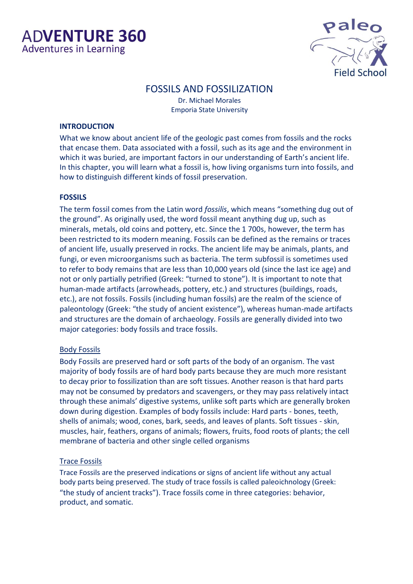

### FOSSILS AND FOSSILIZATION

Dr. Michael Morales Emporia State University

#### **INTRODUCTION**

What we know about ancient life of the geologic past comes from fossils and the rocks that encase them. Data associated with a fossil, such as its age and the environment in which it was buried, are important factors in our understanding of Earth's ancient life. In this chapter, you will learn what a fossil is, how living organisms turn into fossils, and how to distinguish different kinds of fossil preservation.

#### **FOSSILS**

The term fossil comes from the Latin word *fossilis*, which means "something dug out of the ground". As originally used, the word fossil meant anything dug up, such as minerals, metals, old coins and pottery, etc. Since the 1 700s, however, the term has been restricted to its modern meaning. Fossils can be defined as the remains or traces of ancient life, usually preserved in rocks. The ancient life may be animals, plants, and fungi, or even microorganisms such as bacteria. The term subfossil is sometimes used to refer to body remains that are less than 10,000 years old (since the last ice age) and not or only partially petrified (Greek: "turned to stone"). It is important to note that human-made artifacts (arrowheads, pottery, etc.) and structures (buildings, roads, etc.), are not fossils. Fossils (including human fossils) are the realm of the science of paleontology (Greek: "the study of ancient existence"), whereas human-made artifacts and structures are the domain of archaeology. Fossils are generally divided into two major categories: body fossils and trace fossils.

#### Body Fossils

Body Fossils are preserved hard or soft parts of the body of an organism. The vast majority of body fossils are of hard body parts because they are much more resistant to decay prior to fossilization than are soft tissues. Another reason is that hard parts may not be consumed by predators and scavengers, or they may pass relatively intact through these animals' digestive systems, unlike soft parts which are generally broken down during digestion. Examples of body fossils include: Hard parts - bones, teeth, shells of animals; wood, cones, bark, seeds, and leaves of plants. Soft tissues - skin, muscles, hair, feathers, organs of animals; flowers, fruits, food roots of plants; the cell membrane of bacteria and other single celled organisms

#### Trace Fossils

Trace Fossils are the preserved indications or signs of ancient life without any actual body parts being preserved. The study of trace fossils is called paleoichnology (Greek: "the study of ancient tracks"). Trace fossils come in three categories: behavior, product, and somatic.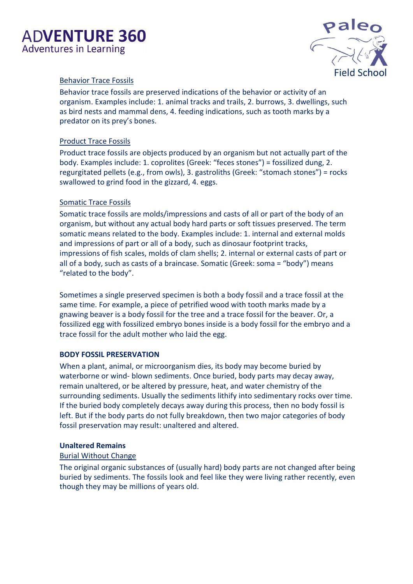

#### Behavior Trace Fossils

Behavior trace fossils are preserved indications of the behavior or activity of an organism. Examples include: 1. animal tracks and trails, 2. burrows, 3. dwellings, such as bird nests and mammal dens, 4. feeding indications, such as tooth marks by a predator on its prey's bones.

#### Product Trace Fossils

Product trace fossils are objects produced by an organism but not actually part of the body. Examples include: 1. coprolites (Greek: "feces stones") = fossilized dung, 2. regurgitated pellets (e.g., from owls), 3. gastroliths (Greek: "stomach stones") = rocks swallowed to grind food in the gizzard, 4. eggs.

#### Somatic Trace Fossils

Somatic trace fossils are molds/impressions and casts of all or part of the body of an organism, but without any actual body hard parts or soft tissues preserved. The term somatic means related to the body. Examples include: 1. internal and external molds and impressions of part or all of a body, such as dinosaur footprint tracks, impressions of fish scales, molds of clam shells; 2. internal or external casts of part or all of a body, such as casts of a braincase. Somatic (Greek: soma = "body") means "related to the body".

Sometimes a single preserved specimen is both a body fossil and a trace fossil at the same time. For example, a piece of petrified wood with tooth marks made by a gnawing beaver is a body fossil for the tree and a trace fossil for the beaver. Or, a fossilized egg with fossilized embryo bones inside is a body fossil for the embryo and a trace fossil for the adult mother who laid the egg.

#### **BODY FOSSIL PRESERVATION**

When a plant, animal, or microorganism dies, its body may become buried by waterborne or wind- blown sediments. Once buried, body parts may decay away, remain unaltered, or be altered by pressure, heat, and water chemistry of the surrounding sediments. Usually the sediments lithify into sedimentary rocks over time. If the buried body completely decays away during this process, then no body fossil is left. But if the body parts do not fully breakdown, then two major categories of body fossil preservation may result: unaltered and altered.

#### **Unaltered Remains**

#### Burial Without Change

The original organic substances of (usually hard) body parts are not changed after being buried by sediments. The fossils look and feel like they were living rather recently, even though they may be millions of years old.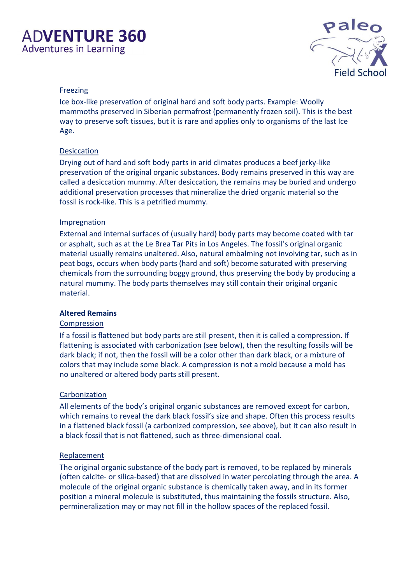

#### Freezing

Ice box-like preservation of original hard and soft body parts. Example: Woolly mammoths preserved in Siberian permafrost (permanently frozen soil). This is the best way to preserve soft tissues, but it is rare and applies only to organisms of the last Ice Age.

#### Desiccation

Drying out of hard and soft body parts in arid climates produces a beef jerky-like preservation of the original organic substances. Body remains preserved in this way are called a desiccation mummy. After desiccation, the remains may be buried and undergo additional preservation processes that mineralize the dried organic material so the fossil is rock-like. This is a petrified mummy.

#### **Impregnation**

External and internal surfaces of (usually hard) body parts may become coated with tar or asphalt, such as at the Le Brea Tar Pits in Los Angeles. The fossil's original organic material usually remains unaltered. Also, natural embalming not involving tar, such as in peat bogs, occurs when body parts (hard and soft) become saturated with preserving chemicals from the surrounding boggy ground, thus preserving the body by producing a natural mummy. The body parts themselves may still contain their original organic material.

#### **Altered Remains**

#### **Compression**

If a fossil is flattened but body parts are still present, then it is called a compression. If flattening is associated with carbonization (see below), then the resulting fossils will be dark black; if not, then the fossil will be a color other than dark black, or a mixture of colors that may include some black. A compression is not a mold because a mold has no unaltered or altered body parts still present.

#### **Carbonization**

All elements of the body's original organic substances are removed except for carbon, which remains to reveal the dark black fossil's size and shape. Often this process results in a flattened black fossil (a carbonized compression, see above), but it can also result in a black fossil that is not flattened, such as three-dimensional coal.

#### **Replacement**

The original organic substance of the body part is removed, to be replaced by minerals (often calcite- or silica-based) that are dissolved in water percolating through the area. A molecule of the original organic substance is chemically taken away, and in its former position a mineral molecule is substituted, thus maintaining the fossils structure. Also, permineralization may or may not fill in the hollow spaces of the replaced fossil.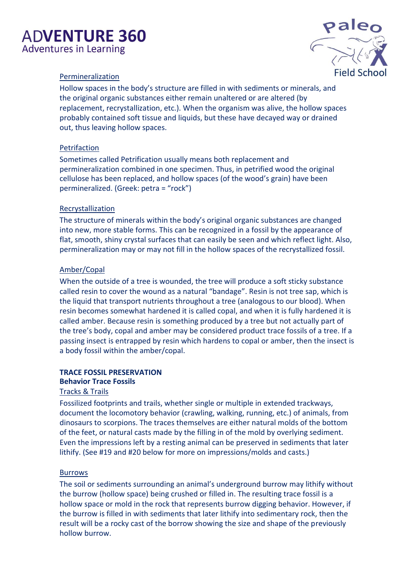

#### Permineralization

Hollow spaces in the body's structure are filled in with sediments or minerals, and the original organic substances either remain unaltered or are altered (by replacement, recrystallization, etc.). When the organism was alive, the hollow spaces probably contained soft tissue and liquids, but these have decayed way or drained out, thus leaving hollow spaces.

#### Petrifaction

Sometimes called Petrification usually means both replacement and permineralization combined in one specimen. Thus, in petrified wood the original cellulose has been replaced, and hollow spaces (of the wood's grain) have been permineralized. (Greek: petra = "rock")

#### **Recrystallization**

The structure of minerals within the body's original organic substances are changed into new, more stable forms. This can be recognized in a fossil by the appearance of flat, smooth, shiny crystal surfaces that can easily be seen and which reflect light. Also, permineralization may or may not fill in the hollow spaces of the recrystallized fossil.

#### Amber/Copal

When the outside of a tree is wounded, the tree will produce a soft sticky substance called resin to cover the wound as a natural "bandage". Resin is not tree sap, which is the liquid that transport nutrients throughout a tree (analogous to our blood). When resin becomes somewhat hardened it is called copal, and when it is fully hardened it is called amber. Because resin is something produced by a tree but not actually part of the tree's body, copal and amber may be considered product trace fossils of a tree. If a passing insect is entrapped by resin which hardens to copal or amber, then the insect is a body fossil within the amber/copal.

#### **TRACE FOSSIL PRESERVATION Behavior Trace Fossils**

#### Tracks & Trails

Fossilized footprints and trails, whether single or multiple in extended trackways, document the locomotory behavior (crawling, walking, running, etc.) of animals, from dinosaurs to scorpions. The traces themselves are either natural molds of the bottom of the feet, or natural casts made by the filling in of the mold by overlying sediment. Even the impressions left by a resting animal can be preserved in sediments that later lithify. (See #19 and #20 below for more on impressions/molds and casts.)

#### Burrows

The soil or sediments surrounding an animal's underground burrow may lithify without the burrow (hollow space) being crushed or filled in. The resulting trace fossil is a hollow space or mold in the rock that represents burrow digging behavior. However, if the burrow is filled in with sediments that later lithify into sedimentary rock, then the result will be a rocky cast of the borrow showing the size and shape of the previously hollow burrow.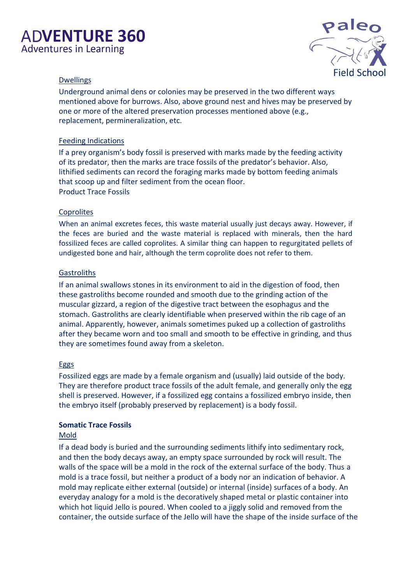

#### **Dwellings**

Underground animal dens or colonies may be preserved in the two different ways mentioned above for burrows. Also, above ground nest and hives may be preserved by one or more of the altered preservation processes mentioned above (e.g., replacement, permineralization, etc.

#### Feeding Indications

If a prey organism's body fossil is preserved with marks made by the feeding activity of its predator, then the marks are trace fossils of the predator's behavior. Also, lithified sediments can record the foraging marks made by bottom feeding animals that scoop up and filter sediment from the ocean floor. Product Trace Fossils

#### **Coprolites**

When an animal excretes feces, this waste material usually just decays away. However, if the feces are buried and the waste material is replaced with minerals, then the hard fossilized feces are called coprolites. A similar thing can happen to regurgitated pellets of undigested bone and hair, although the term coprolite does not refer to them.

#### **Gastroliths**

If an animal swallows stones in its environment to aid in the digestion of food, then these gastroliths become rounded and smooth due to the grinding action of the muscular gizzard, a region of the digestive tract between the esophagus and the stomach. Gastroliths are clearly identifiable when preserved within the rib cage of an animal. Apparently, however, animals sometimes puked up a collection of gastroliths after they became worn and too small and smooth to be effective in grinding, and thus they are sometimes found away from a skeleton.

#### **Eggs**

Fossilized eggs are made by a female organism and (usually) laid outside of the body. They are therefore product trace fossils of the adult female, and generally only the egg shell is preserved. However, if a fossilized egg contains a fossilized embryo inside, then the embryo itself (probably preserved by replacement) is a body fossil.

#### **Somatic Trace Fossils**

#### Mold

If a dead body is buried and the surrounding sediments lithify into sedimentary rock, and then the body decays away, an empty space surrounded by rock will result. The walls of the space will be a mold in the rock of the external surface of the body. Thus a mold is a trace fossil, but neither a product of a body nor an indication of behavior. A mold may replicate either external (outside) or internal (inside) surfaces of a body. An everyday analogy for a mold is the decoratively shaped metal or plastic container into which hot liquid Jello is poured. When cooled to a jiggly solid and removed from the container, the outside surface of the Jello will have the shape of the inside surface of the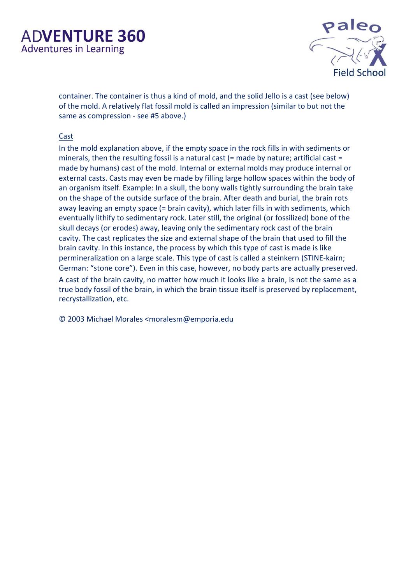

container. The container is thus a kind of mold, and the solid Jello is a cast (see below) of the mold. A relatively flat fossil mold is called an impression (similar to but not the same as compression - see #5 above.)

#### Cast

In the mold explanation above, if the empty space in the rock fills in with sediments or minerals, then the resulting fossil is a natural cast  $(=$  made by nature; artificial cast  $=$ made by humans) cast of the mold. Internal or external molds may produce internal or external casts. Casts may even be made by filling large hollow spaces within the body of an organism itself. Example: In a skull, the bony walls tightly surrounding the brain take on the shape of the outside surface of the brain. After death and burial, the brain rots away leaving an empty space (= brain cavity), which later fills in with sediments, which eventually lithify to sedimentary rock. Later still, the original (or fossilized) bone of the skull decays (or erodes) away, leaving only the sedimentary rock cast of the brain cavity. The cast replicates the size and external shape of the brain that used to fill the brain cavity. In this instance, the process by which this type of cast is made is like permineralization on a large scale. This type of cast is called a steinkern (STINE-kairn; German: "stone core"). Even in this case, however, no body parts are actually preserved. A cast of the brain cavity, no matter how much it looks like a brain, is not the same as a true body fossil of the brain, in which the brain tissue itself is preserved by replacement, recrystallization, etc.

© 2003 Michael Morales <moralesm@emporia.edu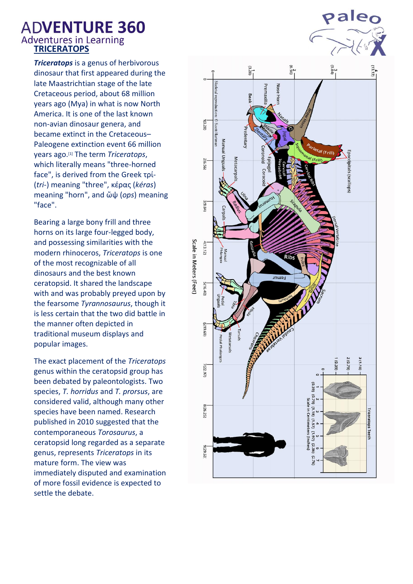# **ADVENTURE 360 Adventures in Learning<br>
TRICERATOPS**

*Triceratops* is a [genus](http://en.wikipedia.org/wiki/Genus) o[f herbivorous](http://en.wikipedia.org/wiki/Herbivorous) [dinosaur](http://en.wikipedia.org/wiki/Dinosaur) that first appeared during the late [Maastrichtian](http://en.wikipedia.org/wiki/Maastrichtian) stage of the late [Cretaceous](http://en.wikipedia.org/wiki/Cretaceous) [period,](http://en.wikipedia.org/wiki/Period_(geology)) about 68 [million](http://en.wikipedia.org/wiki/Mya_(unit))  [years ago](http://en.wikipedia.org/wiki/Mya_(unit)) (Mya) in what is now [North](http://en.wikipedia.org/wiki/North_America)  [America.](http://en.wikipedia.org/wiki/North_America) It is one of the last known non-avian dinosaur genera, and became extinct in the [Cretaceous](http://en.wikipedia.org/wiki/Cretaceous%E2%80%93Paleogene_extinction_event)– [Paleogene extinction event](http://en.wikipedia.org/wiki/Cretaceous%E2%80%93Paleogene_extinction_event) 66 million years ago.[\[1\]](http://en.wikipedia.org/wiki/Triceratops#cite_note-scannella2014-1) The term *Triceratops*, which literally means "three-horned face", is derived from the [Greek](http://en.wikipedia.org/wiki/Ancient_Greek) τρί- (*tri-*) meaning "three", [κέρας](http://en.wiktionary.org/wiki/%CE%BA%CE%AD%CF%81%CE%B1%CF%82) (*kéras*) meaning "horn", and [ὤψ](http://en.wiktionary.org/wiki/%E1%BD%A4%CF%88) (*ops*) meaning "face".

Bearing a large bony [frill](http://en.wikipedia.org/wiki/Neck_frill) and three [horns](http://en.wikipedia.org/wiki/Horn_(anatomy)) on its large four-legged body, and possessing similarities with the modern [rhinoceros,](http://en.wikipedia.org/wiki/Rhinoceros) *Triceratops* is one of the most recognizable of all dinosaurs and the best known ceratopsid. It shared the landscape with and was probably [preyed upon](http://en.wikipedia.org/wiki/Predation) by the fearsome *[Tyrannosaurus](http://en.wikipedia.org/wiki/Tyrannosaurus)*, though it is less certain that the two did battle in the manner often depicted in traditional museum displays and popular images.

The exact placement of the *Triceratops* genus within the ceratopsid group has been debated by [paleontologists.](http://en.wikipedia.org/wiki/Paleontology) Two [species,](http://en.wikipedia.org/wiki/Species) *T. horridus* and *T. prorsus*, are considered valid, although many other species have been named. Research published in 2010 suggested that the contemporaneous *[Torosaurus](http://en.wikipedia.org/wiki/Torosaurus)*, a ceratopsid long regarded as a separate genus, represents *Triceratops* in its mature form. The view was immediately disputed and examination of more fossil evidence is expected to settle the debate.



**pale**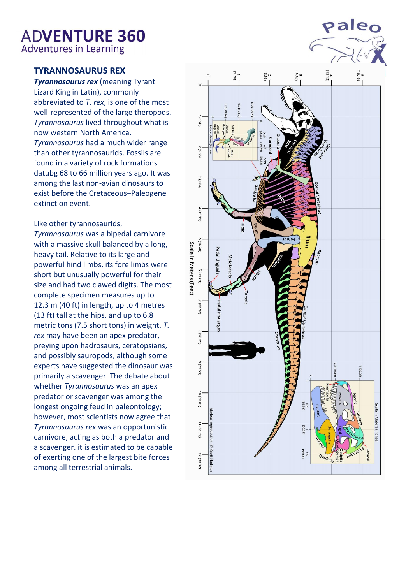**TYRANNOSAURUS REX**

*Tyrannosaurus rex* (meaning Tyrant Lizard King in [Latin\)](http://en.wikipedia.org/wiki/Latin), commonly abbreviated to *T. rex*, is one of the most well-represented of the large theropods. *Tyrannosaurus* lived throughout what is now western North America. *Tyrannosaurus* had a much wider range than other [tyrannosaurids.](http://en.wikipedia.org/wiki/Tyrannosauridae) Fossils are found in a variety of [rock formations](http://en.wikipedia.org/wiki/Geologic_formation) datubg 68 to 66 [million years ago.](http://en.wikipedia.org/wiki/Mya_(unit)) It was among the last non[-avian](http://en.wikipedia.org/wiki/Aves) dinosaurs to exist before the [Cretaceous](http://en.wikipedia.org/wiki/Cretaceous%E2%80%93Paleogene_extinction_event)–Paleogene [extinction event.](http://en.wikipedia.org/wiki/Cretaceous%E2%80%93Paleogene_extinction_event)

Like other [tyrannosaurids,](http://en.wikipedia.org/wiki/Tyrannosauridae)

*Tyrannosaurus* was a [bipedal](http://en.wikipedia.org/wiki/Biped) [carnivore](http://en.wikipedia.org/wiki/Carnivore) with a massive skull balanced by a long, heavy tail. Relative to its large and powerful hind limbs, its fore limbs were short but unusually powerful for their size and had two clawed digits. The most complete specimen measures up to 12.3 m (40 ft) in length, up to 4 metres (13 ft) tall at the hips, and up to 6.8 metric tons (7.5 short tons) in weight. *T. rex* may have been an [apex predator,](http://en.wikipedia.org/wiki/Apex_predator) preying upon [hadrosaurs,](http://en.wikipedia.org/wiki/Hadrosaur) [ceratopsians,](http://en.wikipedia.org/wiki/Ceratopsia) and possibly sauropods, although some experts have suggested the dinosaur was primarily a [scavenger.](http://en.wikipedia.org/wiki/Scavenger) The debate about whether *Tyrannosaurus* was an apex predator or scavenger was among the longest ongoing feud in [paleontology;](http://en.wikipedia.org/wiki/Paleontology) however, most scientists now agree that *Tyrannosaurus rex* was an opportunistic carnivore, acting as both a predator and a scavenger. it is estimated to be capable of exerting one of the largest bite forces among all terrestrial animals.

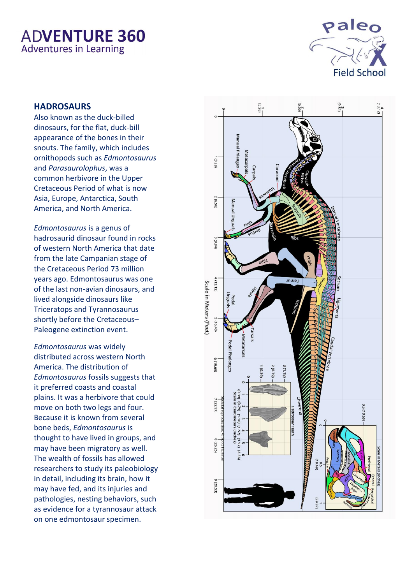

#### **HADROSAURS**

Also known as the duck-billed dinosaurs, for the flat, duck-bill appearance of the bones in their snouts. The family, which includes [ornithopods](https://en.wikipedia.org/wiki/Ornithopod) such as *[Edmontosaurus](https://en.wikipedia.org/wiki/Edmontosaurus)* and *[Parasaurolophus](https://en.wikipedia.org/wiki/Parasaurolophus)*, was a common [herbivore](https://en.wikipedia.org/wiki/Herbivore) in the Upper [Cretaceous](https://en.wikipedia.org/wiki/Cretaceous) [Period](https://en.wikipedia.org/wiki/Period_(geology)) of what is now Asia, Europe, Antarctica, South America, and North America.

*Edmontosaurus* is a [genus](http://en.wikipedia.org/wiki/Genus) of [hadrosaurid](http://en.wikipedia.org/wiki/Hadrosaurid) [dinosaur](http://en.wikipedia.org/wiki/Dinosaur) found in rocks of western [North America](http://en.wikipedia.org/wiki/North_America) that date from the late [Campanian](http://en.wikipedia.org/wiki/Campanian) [stage](http://en.wikipedia.org/wiki/Stage_(stratigraphy)) of the [Cretaceous](http://en.wikipedia.org/wiki/Cretaceous) [Period](http://en.wikipedia.org/wiki/Geologic_time_scale#Terminology) 73 million years ago. Edmontosaurus was one of the last non[-avian](http://en.wikipedia.org/wiki/Bird) dinosaurs, and lived alongside dinosaurs like [Triceratops](http://en.wikipedia.org/wiki/Triceratops) and [Tyrannosaurus](http://en.wikipedia.org/wiki/Tyrannosaurus) shortly before the [Cretaceous](http://en.wikipedia.org/wiki/Cretaceous%E2%80%93Paleogene_extinction_event)– [Paleogene extinction event.](http://en.wikipedia.org/wiki/Cretaceous%E2%80%93Paleogene_extinction_event)

*Edmontosaurus* was widely distributed across western North America. The distribution of *Edmontosaurus* fossils suggests that it preferred coasts and [coastal](http://en.wikipedia.org/wiki/Coastal_plain)  [plains.](http://en.wikipedia.org/wiki/Coastal_plain) It was a [herbivore](http://en.wikipedia.org/wiki/Herbivory) that could move on both two legs and four. Because it is known from several [bone beds,](http://en.wikipedia.org/wiki/Bone_bed) *Edmontosaurus* is thought to have lived in groups, and may have been migratory as well. The wealth of fossils has allowed researchers to study its [paleobiology](http://en.wikipedia.org/wiki/Paleobiology) in detail, including its brain, how it may have fed, and its injuries and [pathologies,](http://en.wikipedia.org/wiki/Pathology) nesting behaviors, such as evidence for a tyrannosaur attack on one edmontosaur specimen.

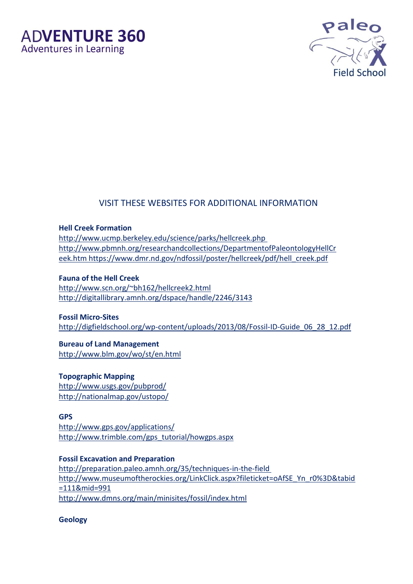



#### VISIT THESE WEBSITES FOR ADDITIONAL INFORMATION

**Hell Creek Formation** 

http://www.ucmp.berkeley.edu/science/parks/hellcreek.php http://www.pbmnh.org/researchandcollections/DepartmentofPaleontologyHellCr eek.htm [https://www.dmr.nd.gov/ndfossil/poster/hellcreek/pdf/hell\\_creek.pdf](https://www.dmr.nd.gov/ndfossil/poster/hellcreek/pdf/hell_creek.pdf)

**Fauna of the Hell Creek** <http://www.scn.org/~bh162/hellcreek2.html> <http://digitallibrary.amnh.org/dspace/handle/2246/3143>

**Fossil Micro-Sites** [http://digfieldschool.org/wp-content/uploads/2013/08/Fossil-ID-Guide\\_06\\_28\\_12.pdf](http://digfieldschool.org/wp-content/uploads/2013/08/Fossil-ID-Guide_06_28_12.pdf)

**Bureau of Land Management** http://www.blm.gov/wo/st/en.html

**Topographic Mapping** http://www.usgs.gov/pubprod/ http://nationalmap.gov/ustopo/

**GPS** http://www.gps.gov/applications/ http://www.trimble.com/gps\_tutorial/howgps.aspx

**Fossil Excavation and Preparation**  http://preparation.paleo.amnh.org/35/techniques-in-the-field http://www.museumoftherockies.org/LinkClick.aspx?fileticket=oAfSE\_Yn\_r0%3D&tabid =111&mid=991 http://www.dmns.org/main/minisites/fossil/index.html

**Geology**